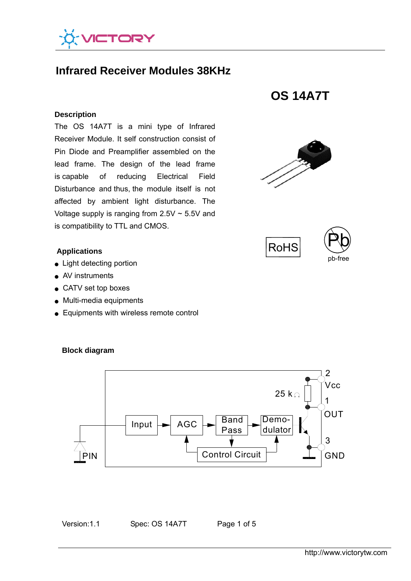

# **Infrared Receiver Modules 38KHz**

#### **Description**

The OS 14A7T is a mini type of Infrared Receiver Module. It self construction consist of Pin Diode and Preamplifier assembled on the lead frame. The design of the lead frame is capable of reducing Electrical Field Disturbance and thus, the module itself is not affected by ambient light disturbance. The Voltage supply is ranging from  $2.5V \sim 5.5V$  and is compatibility to TTL and CMOS.

#### **Applications**

- **Light detecting portion**
- AV instruments
- CATV set top boxes
- Multi-media equipments
- Equipments with wireless remote control



#### **Block diagram**

Version:1.1 Spec: OS 14A7T Page 1 of 5

**OS 14A7T** 





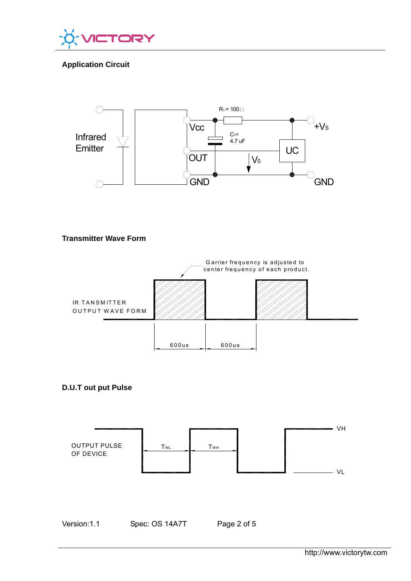

# **Application Circuit**



## **Transmitter Wave Form**



## **D.U.T out put Pulse**

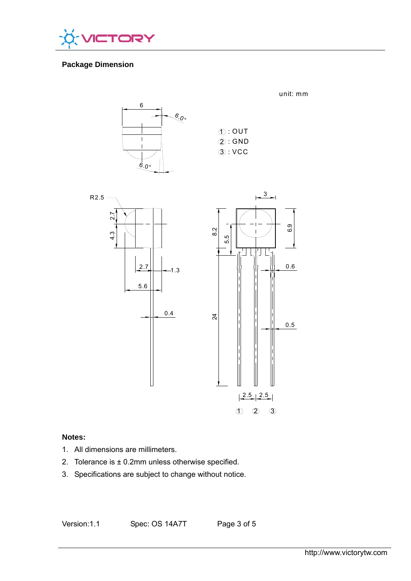

# **Package Dimension**



|  | $\textcircled{1}:$ OUT |
|--|------------------------|
|  | $(2)$ : GND            |
|  | $(3)$ : VCC            |
|  |                        |

unit: mm



## **Notes:**

- 1. All dimensions are millimeters.
- 2. Tolerance is  $\pm$  0.2mm unless otherwise specified.
- 3. Specifications are subject to change without notice.

Version:1.1 Spec: OS 14A7T Page 3 of 5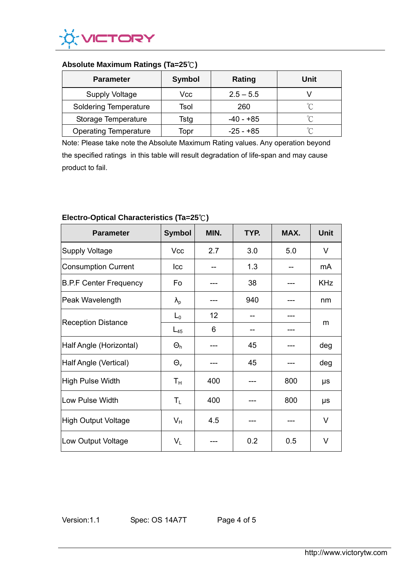

## **Absolute Maximum Ratings (Ta=25**℃**)**

| <b>Parameter</b>             | <b>Symbol</b> | Rating      | Unit   |  |
|------------------------------|---------------|-------------|--------|--|
| <b>Supply Voltage</b>        | Vcc           | $2.5 - 5.5$ |        |  |
| <b>Soldering Temperature</b> | Tsol          | 260         | ∽      |  |
| Storage Temperature          | Tstg          | -40 - +85   | $\sim$ |  |
| <b>Operating Temperature</b> | Topr          | $-25 - +85$ | °∩     |  |

Note: Please take note the Absolute Maximum Rating values. Any operation beyond the specified ratings in this table will result degradation of life-span and may cause product to fail.

| <b>Parameter</b>              | <b>Symbol</b>             | MIN. | TYP. | MAX. | <b>Unit</b> |
|-------------------------------|---------------------------|------|------|------|-------------|
| Supply Voltage                | Vcc                       | 2.7  | 3.0  | 5.0  | V           |
| Consumption Current           | Icc                       |      | 1.3  |      | mA          |
| <b>B.P.F Center Frequency</b> | Fo                        |      | 38   |      | <b>KHz</b>  |
| Peak Wavelength               | $\lambda_{p}$             |      | 940  |      | nm          |
|                               | $L_0$                     | 12   |      |      | m           |
| <b>Reception Distance</b>     | $L_{45}$                  | 6    |      |      |             |
| Half Angle (Horizontal)       | $\Theta_h$                |      | 45   |      | deg         |
| Half Angle (Vertical)         | $\Theta_{v}$              |      | 45   |      | deg         |
| High Pulse Width              | $T_{\rm H}$               | 400  |      | 800  | μs          |
| Low Pulse Width               | $T_{L}$                   | 400  |      | 800  | μs          |
| High Output Voltage           | $V_{H}$                   | 4.5  |      |      | V           |
| Low Output Voltage            | $\mathsf{V}_{\mathsf{L}}$ |      | 0.2  | 0.5  | V           |

## **Electro-Optical Characteristics (Ta=25**℃**)**